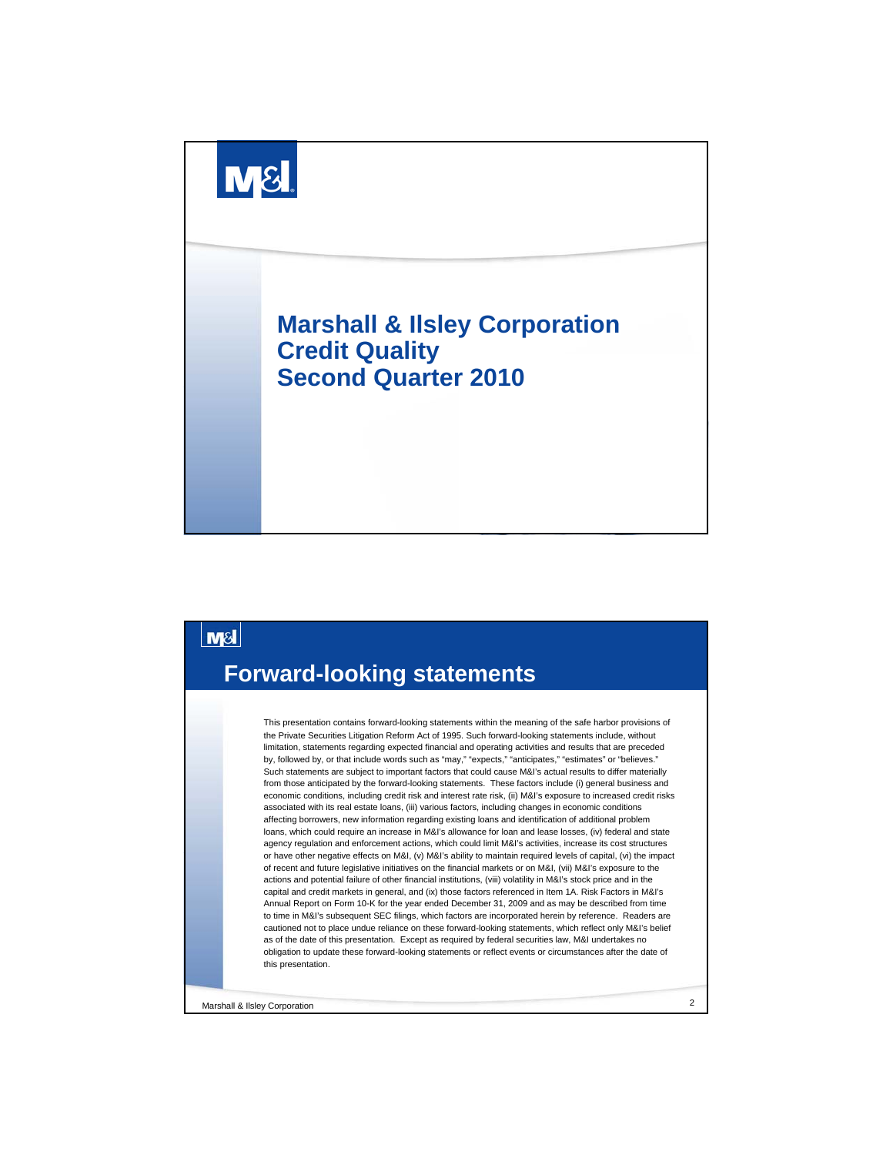



Marshall & Ilsley Corporation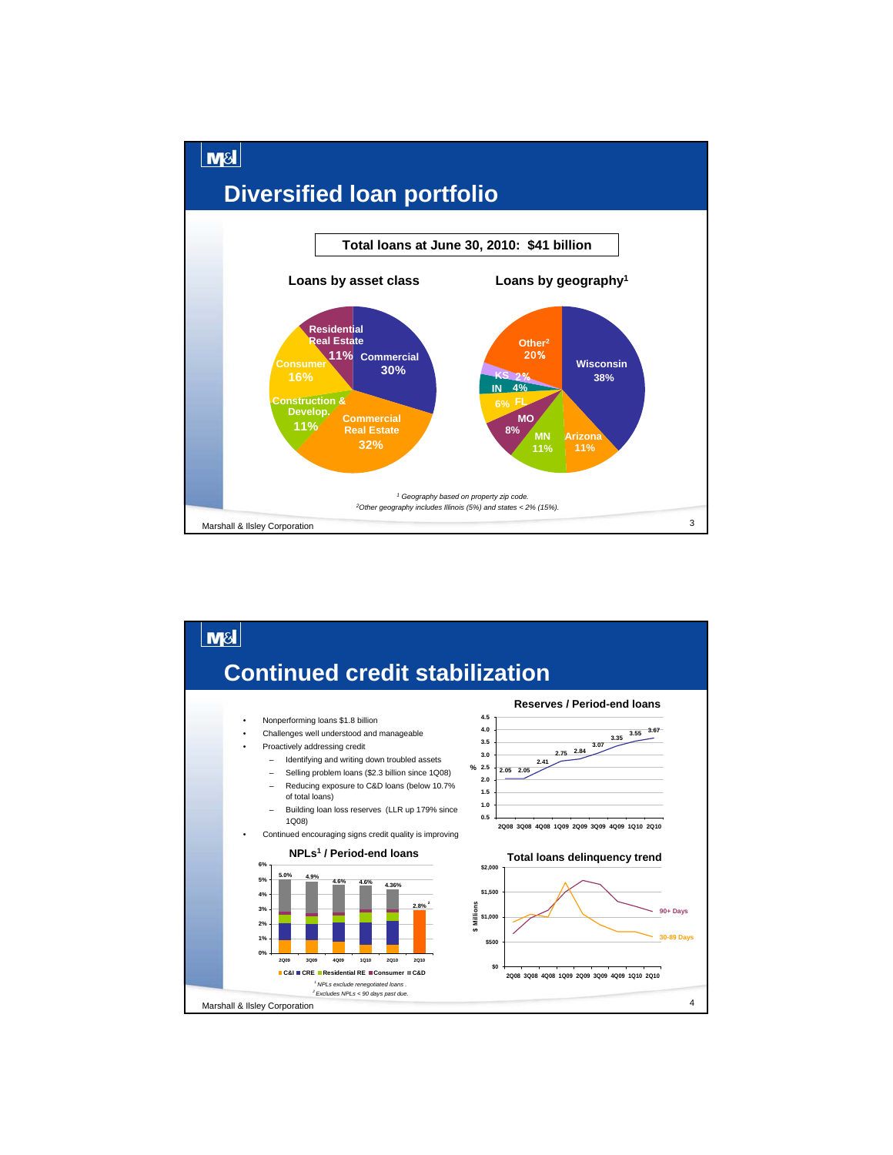

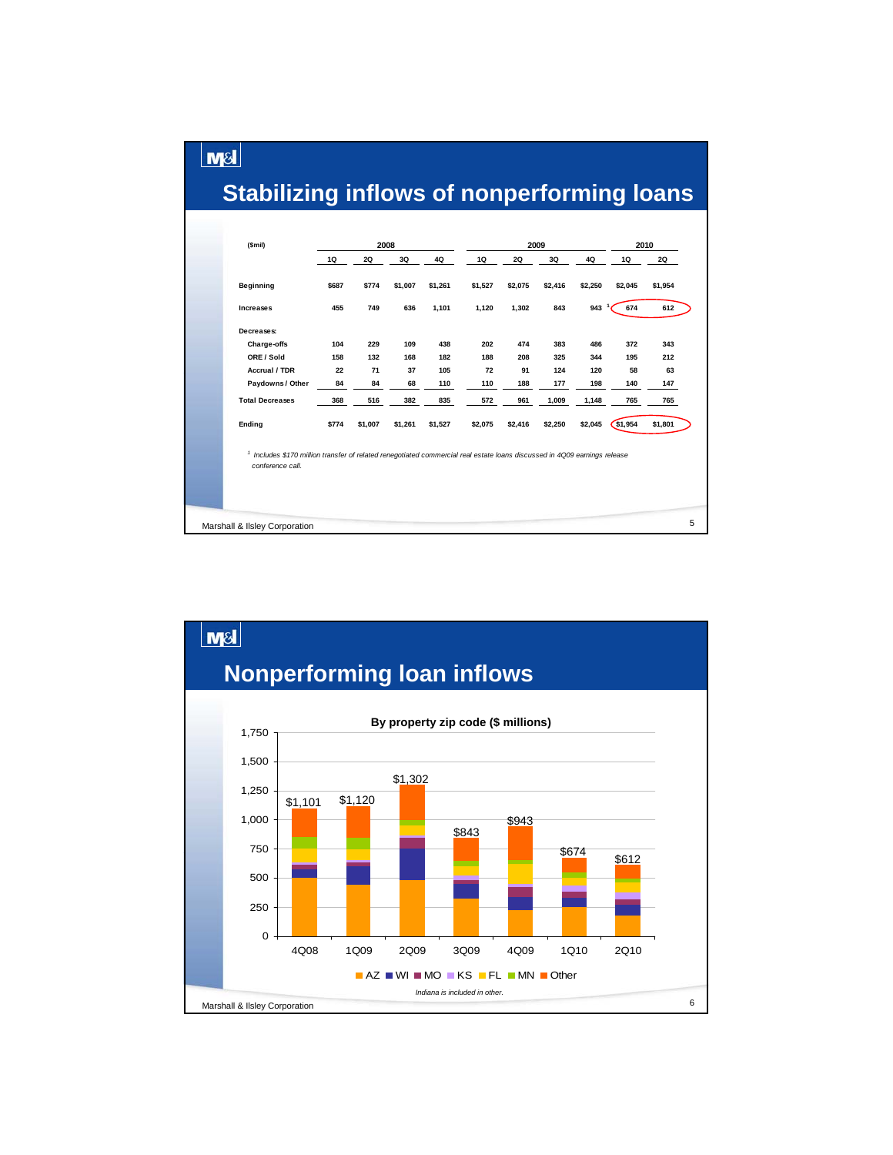# **Stabilizing inflows of nonperforming loans**

 $\lfloor \mathsf{m}\mathsf{s}\rfloor$ 

| (Smil)                                                                                                                                                   |       | 2008    |         |         |         | 2009      |         |                  |         | 2010    |   |
|----------------------------------------------------------------------------------------------------------------------------------------------------------|-------|---------|---------|---------|---------|-----------|---------|------------------|---------|---------|---|
|                                                                                                                                                          | 1Q    | 2Q      | 3Q      | 4Q      | 1Q      | <b>2Q</b> | 3Q      | 4Q               | 1Q      | 2Q      |   |
| Beginning                                                                                                                                                | \$687 | \$774   | \$1,007 | \$1,261 | \$1,527 | \$2,075   | \$2,416 | \$2,250          | \$2,045 | \$1,954 |   |
| Increases                                                                                                                                                | 455   | 749     | 636     | 1,101   | 1,120   | 1,302     | 843     | 943 <sup>1</sup> | 674     | 612     |   |
| Decreases:                                                                                                                                               |       |         |         |         |         |           |         |                  |         |         |   |
| Charge-offs                                                                                                                                              | 104   | 229     | 109     | 438     | 202     | 474       | 383     | 486              | 372     | 343     |   |
| ORE / Sold                                                                                                                                               | 158   | 132     | 168     | 182     | 188     | 208       | 325     | 344              | 195     | 212     |   |
| Accrual / TDR                                                                                                                                            | 22    | 71      | 37      | 105     | 72      | 91        | 124     | 120              | 58      | 63      |   |
| Paydowns / Other                                                                                                                                         | 84    | 84      | 68      | 110     | 110     | 188       | 177     | 198              | 140     | 147     |   |
| <b>Total Decreases</b>                                                                                                                                   | 368   | 516     | 382     | 835     | 572     | 961       | 1,009   | 1,148            | 765     | 765     |   |
| Ending                                                                                                                                                   | \$774 | \$1,007 | \$1,261 | \$1,527 | \$2,075 | \$2,416   | \$2,250 | \$2,045          | \$1,954 | \$1,801 |   |
| <sup>1</sup> Includes \$170 million transfer of related renegotiated commercial real estate loans discussed in 4Q09 earnings release<br>conference call. |       |         |         |         |         |           |         |                  |         |         |   |
|                                                                                                                                                          |       |         |         |         |         |           |         |                  |         |         |   |
| Marshall & Ilsley Corporation                                                                                                                            |       |         |         |         |         |           |         |                  |         |         | 5 |

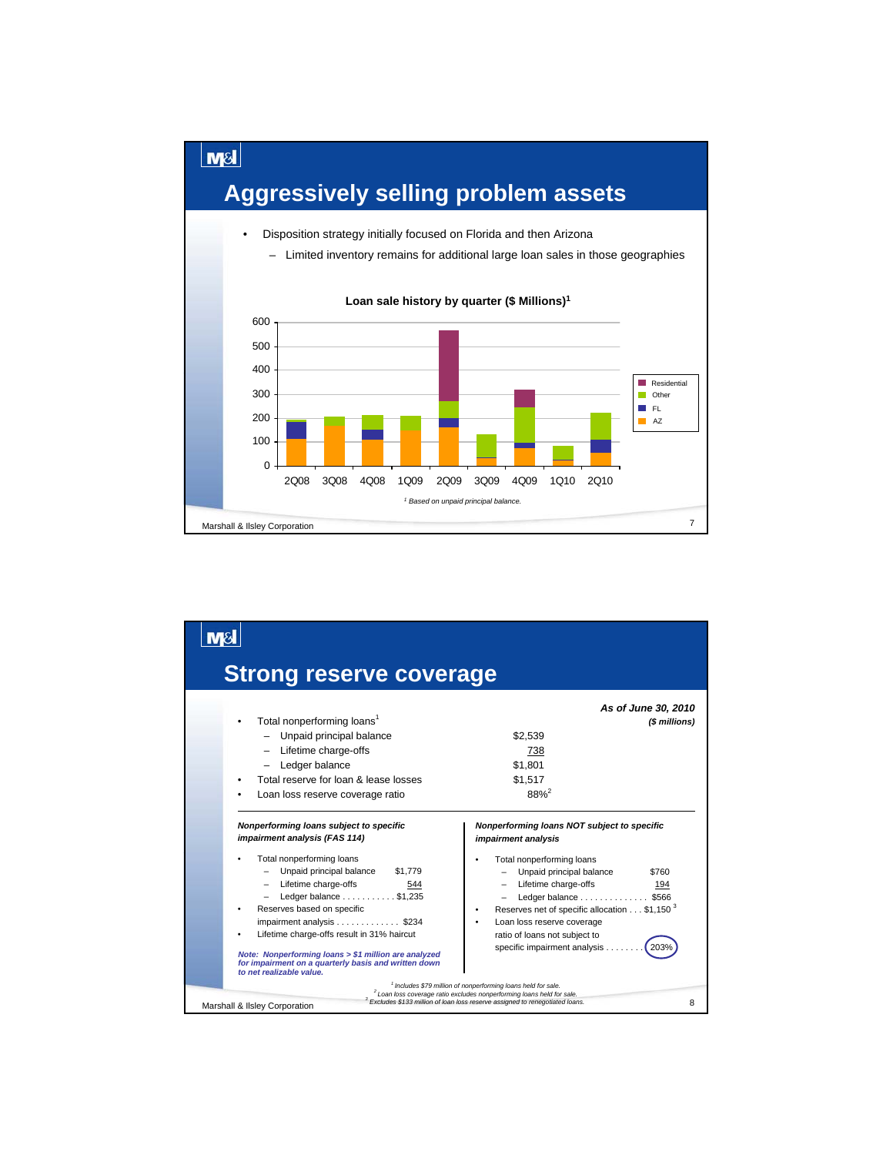

| <b>Strong reserve coverage</b>                                                                                                                                                                                                                                                                                                                                                                                                                               |                                                                                                                                                                                                                                                                                                                                                                                                                                              |
|--------------------------------------------------------------------------------------------------------------------------------------------------------------------------------------------------------------------------------------------------------------------------------------------------------------------------------------------------------------------------------------------------------------------------------------------------------------|----------------------------------------------------------------------------------------------------------------------------------------------------------------------------------------------------------------------------------------------------------------------------------------------------------------------------------------------------------------------------------------------------------------------------------------------|
| Total nonperforming loans <sup>1</sup><br>Unpaid principal balance<br>- Lifetime charge-offs<br>Ledger balance<br>Total reserve for loan & lease losses<br>Loan loss reserve coverage ratio                                                                                                                                                                                                                                                                  | As of June 30, 2010<br>(\$ millions)<br>\$2,539<br>738<br>\$1.801<br>\$1.517<br>$88%^{2}$                                                                                                                                                                                                                                                                                                                                                    |
| Nonperforming loans subject to specific<br>impairment analysis (FAS 114)<br>Total nonperforming loans<br>Unpaid principal balance<br>\$1,779<br>- Lifetime charge-offs<br>544<br>Ledger balance \$1,235<br>Reserves based on specific<br>impairment analysis \$234<br>Lifetime charge-offs result in 31% haircut<br>Note: Nonperforming loans > \$1 million are analyzed<br>for impairment on a quarterly basis and written down<br>to net realizable value. | Nonperforming loans NOT subject to specific<br>impairment analysis<br>Total nonperforming loans<br>Unpaid principal balance<br>\$760<br>- Lifetime charge-offs<br>194<br>Ledger balance \$566<br>Reserves net of specific allocation \$1,150 <sup>3</sup><br>Loan loss reserve coverage<br>ratio of loans not subject to<br>specific impairment analysis<br>203°<br><sup>1</sup> Includes \$79 million of nonperforming loans held for sale. |
| Marshall & Ilsley Corporation                                                                                                                                                                                                                                                                                                                                                                                                                                | <sup>2</sup> Loan loss coverage ratio excludes nonperforming loans held for sale.<br><sup>3</sup> Excludes \$133 million of loan loss reserve assigned to renegotiated loans.<br>8                                                                                                                                                                                                                                                           |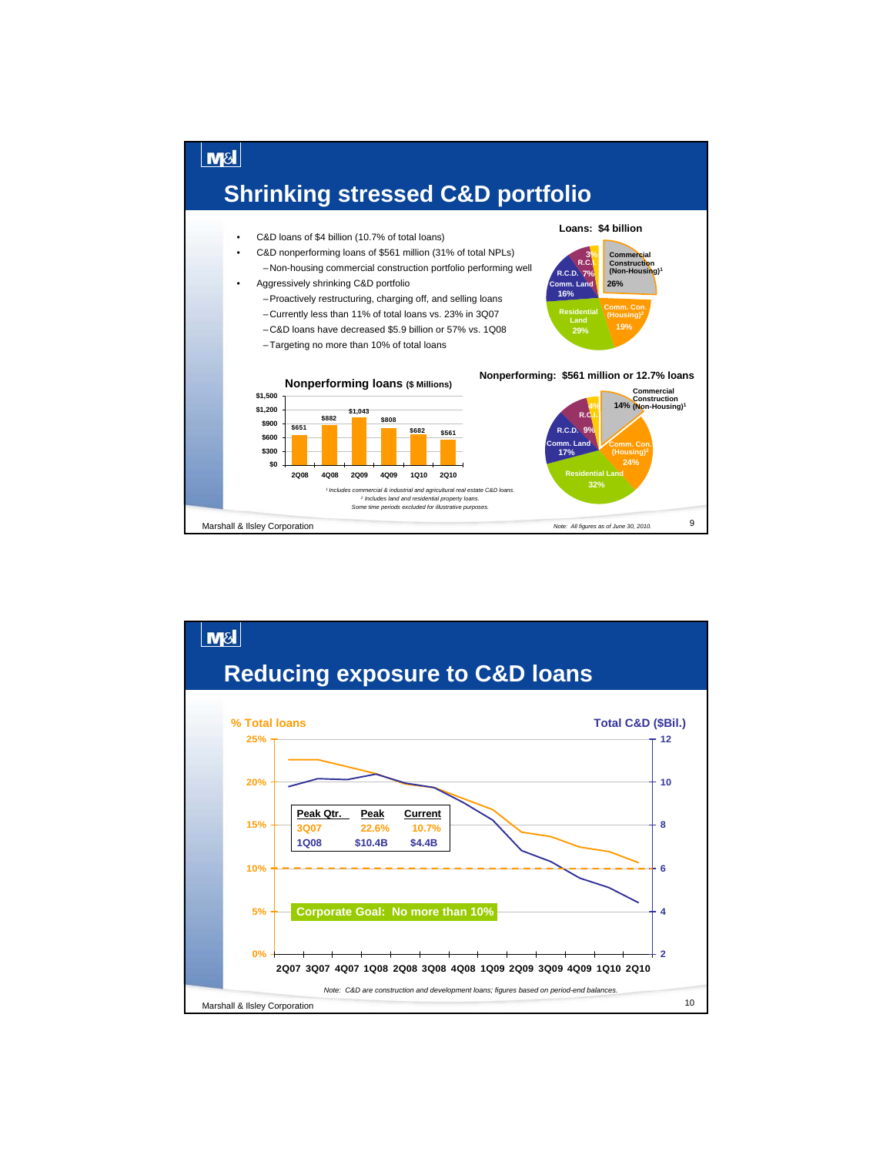

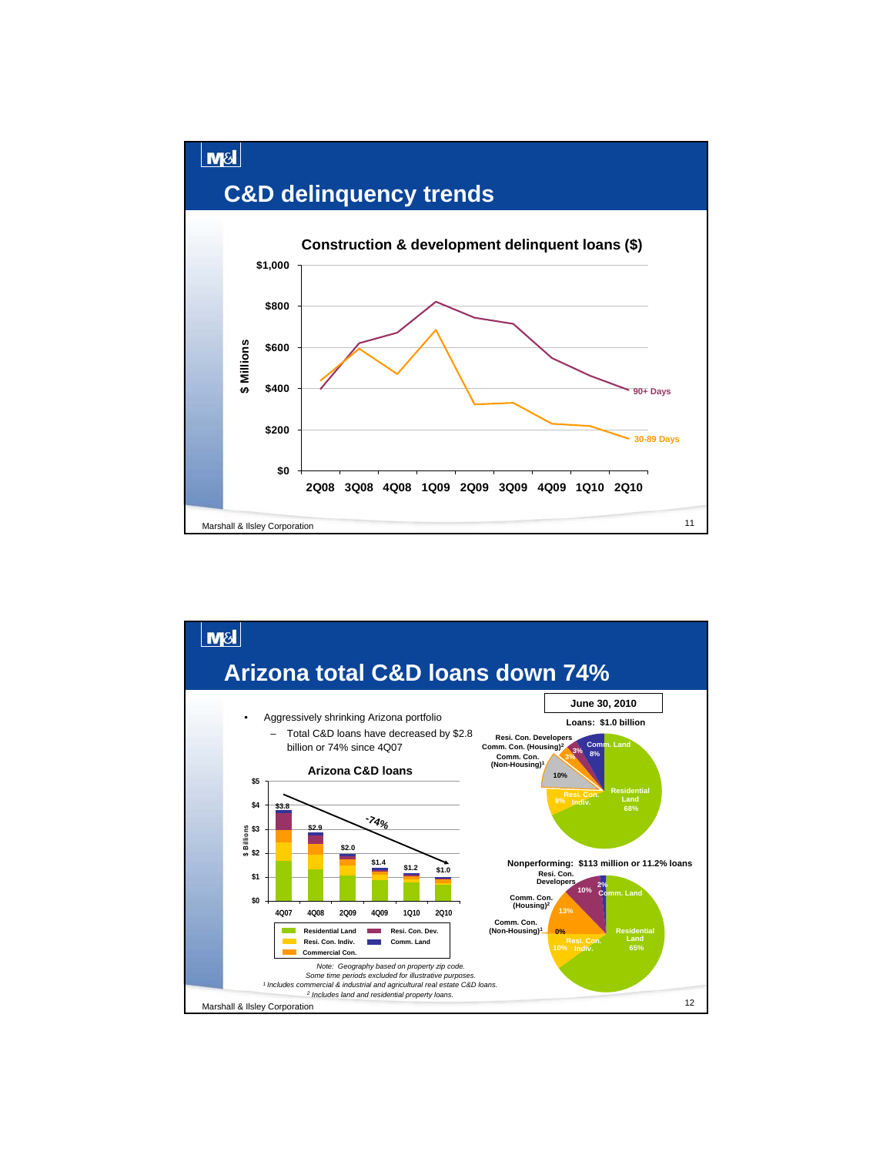

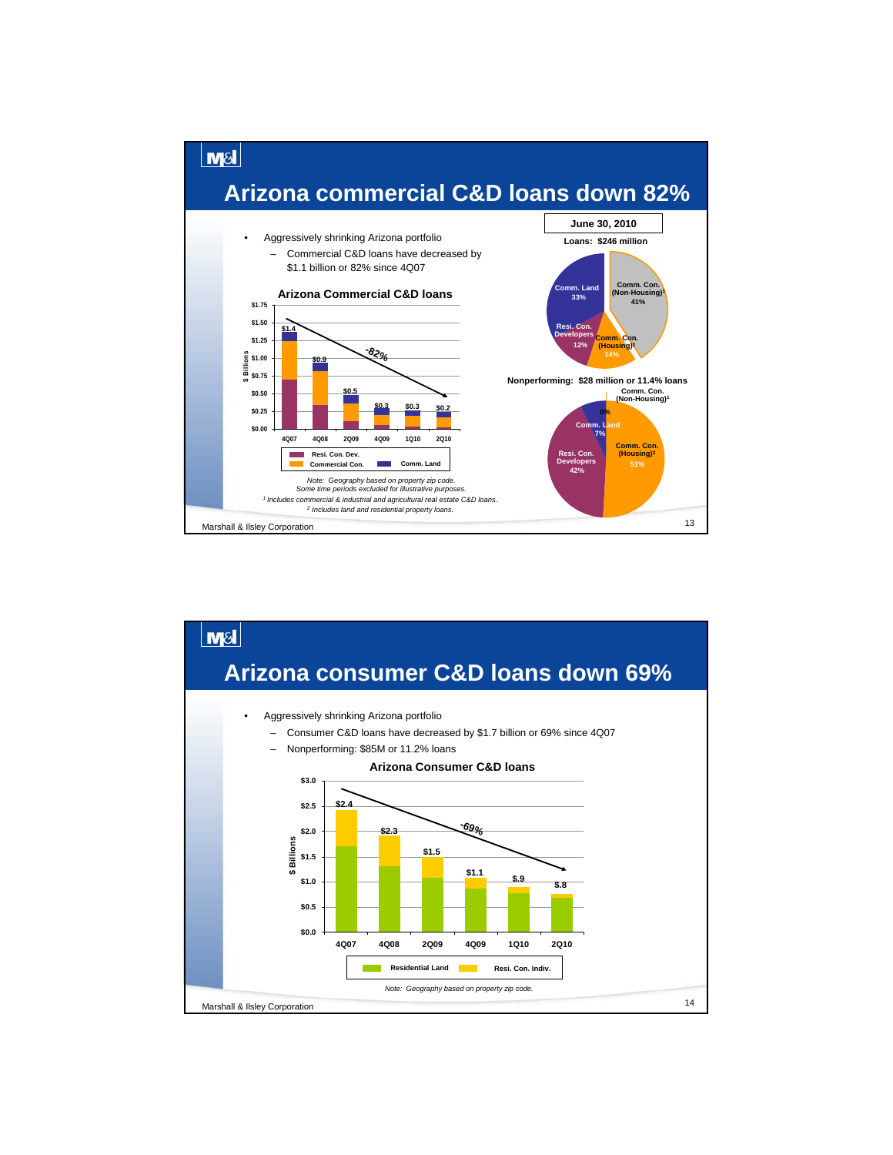

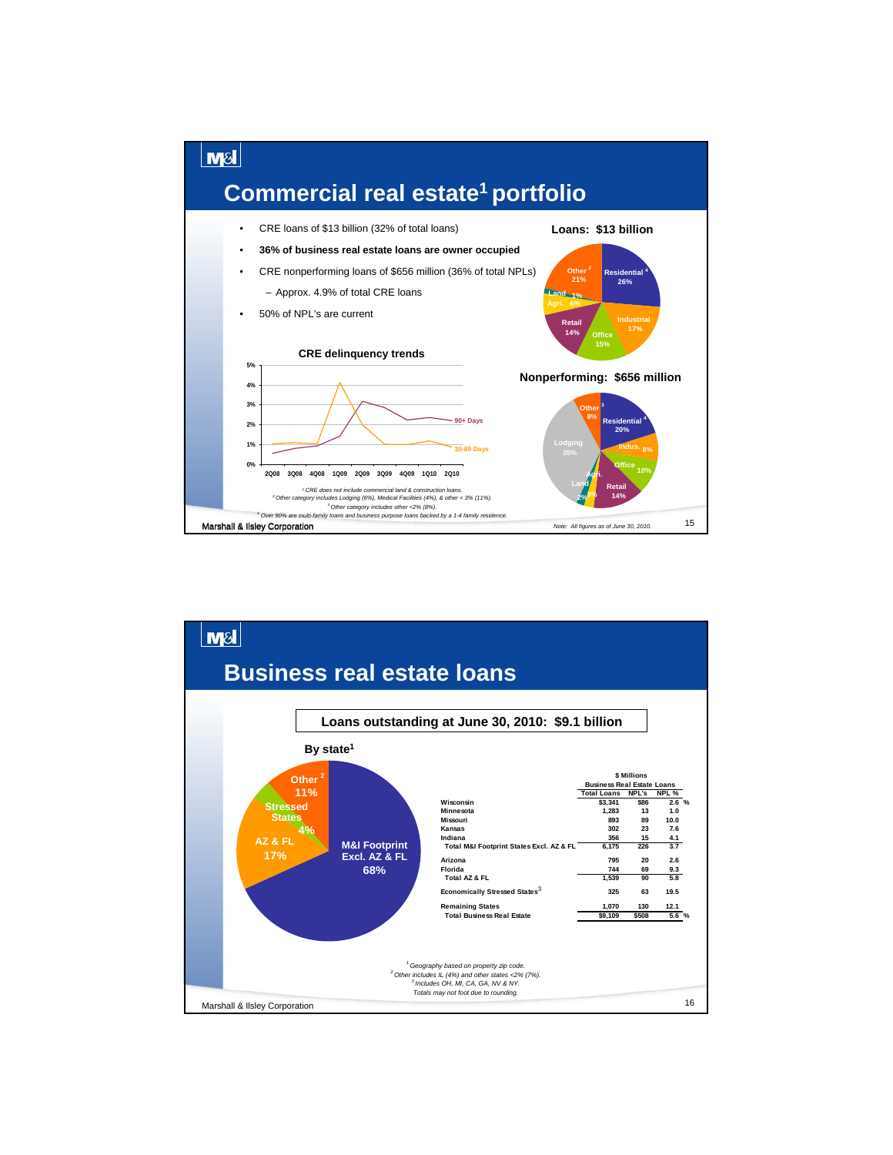

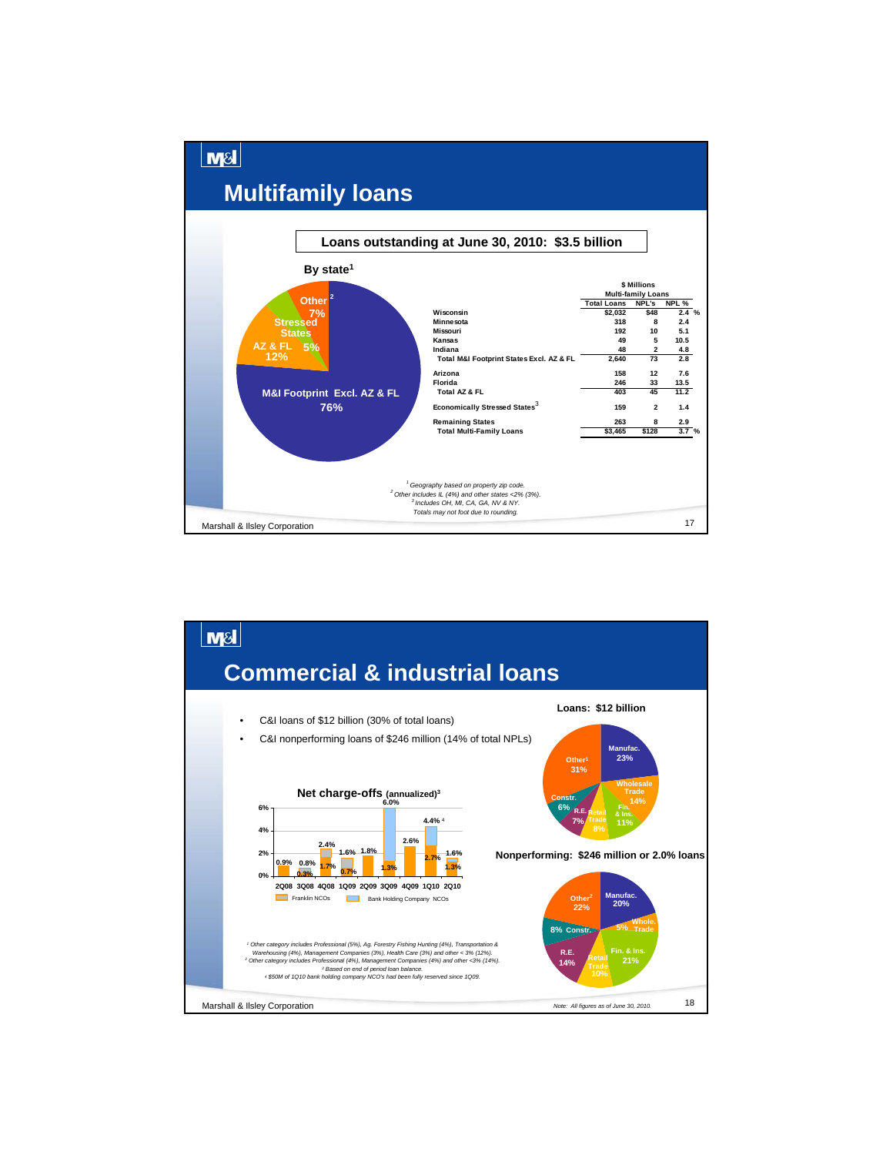

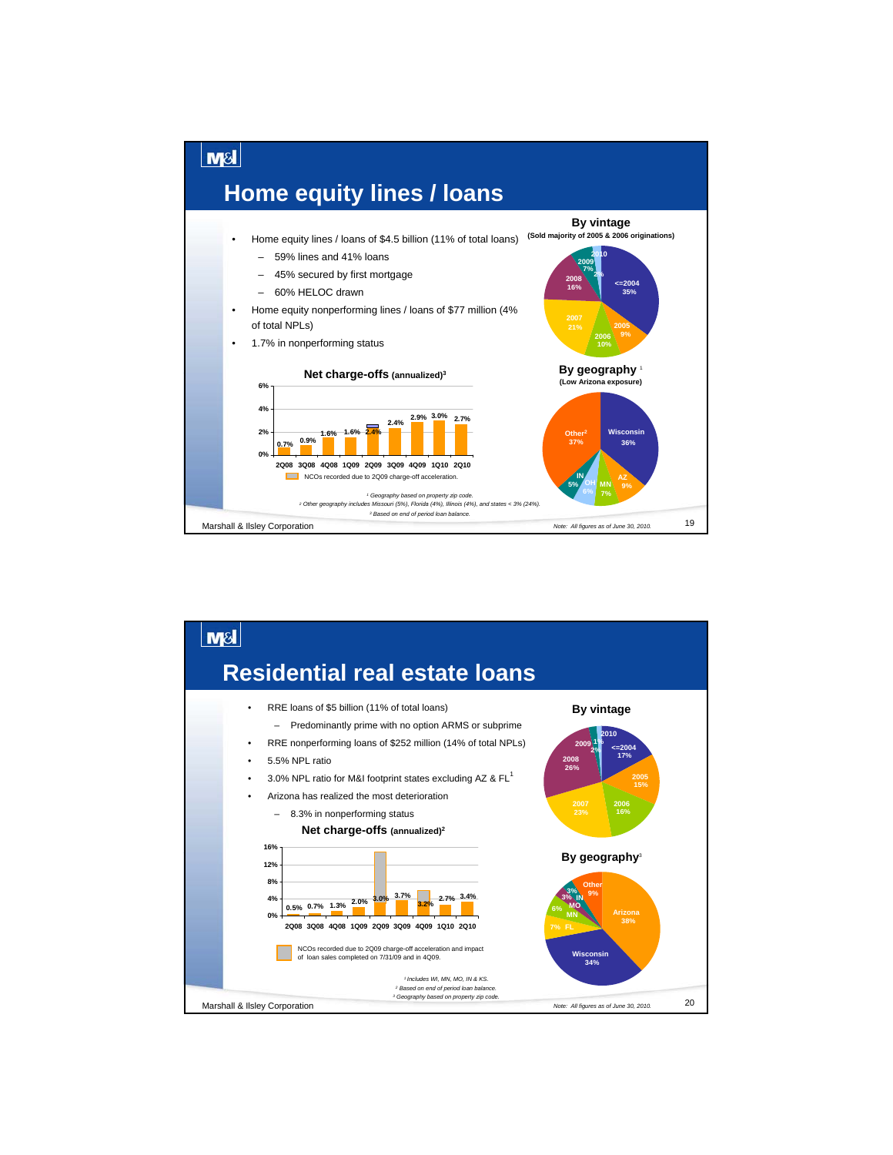

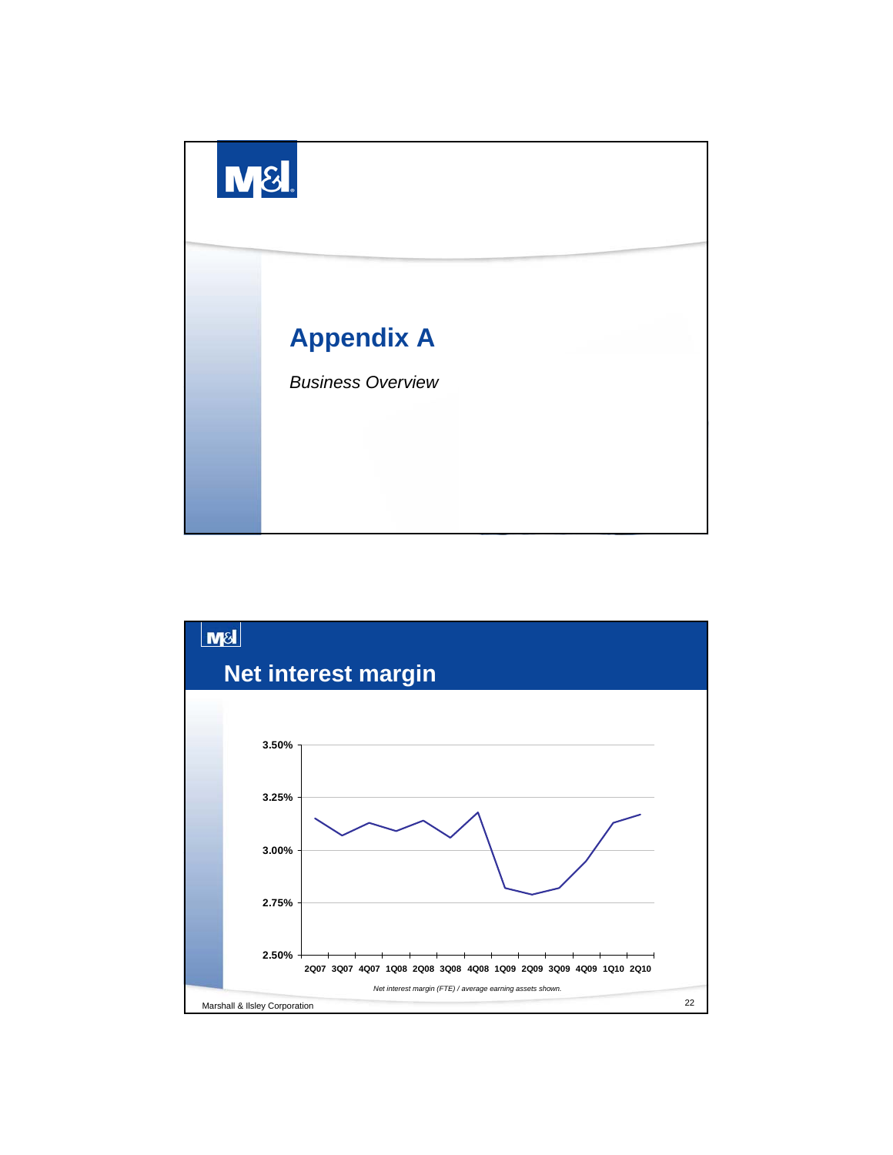

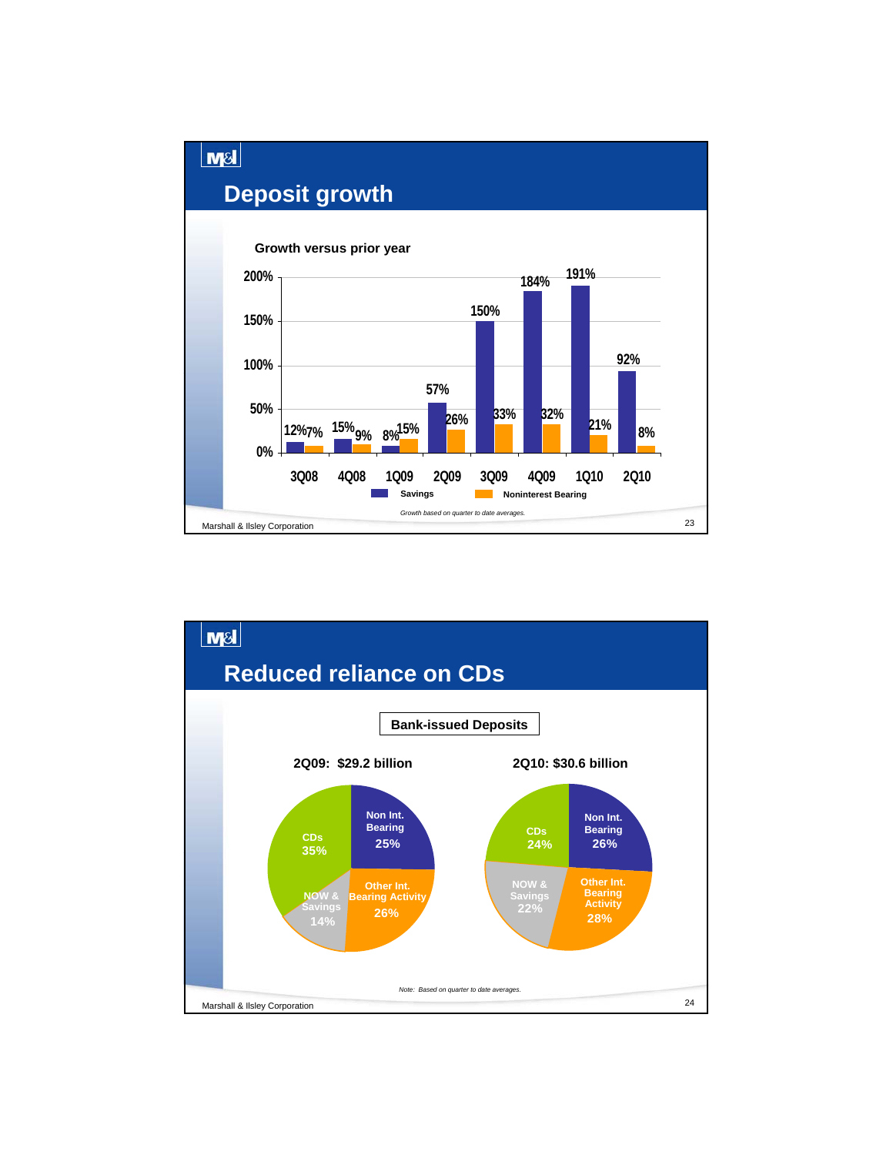

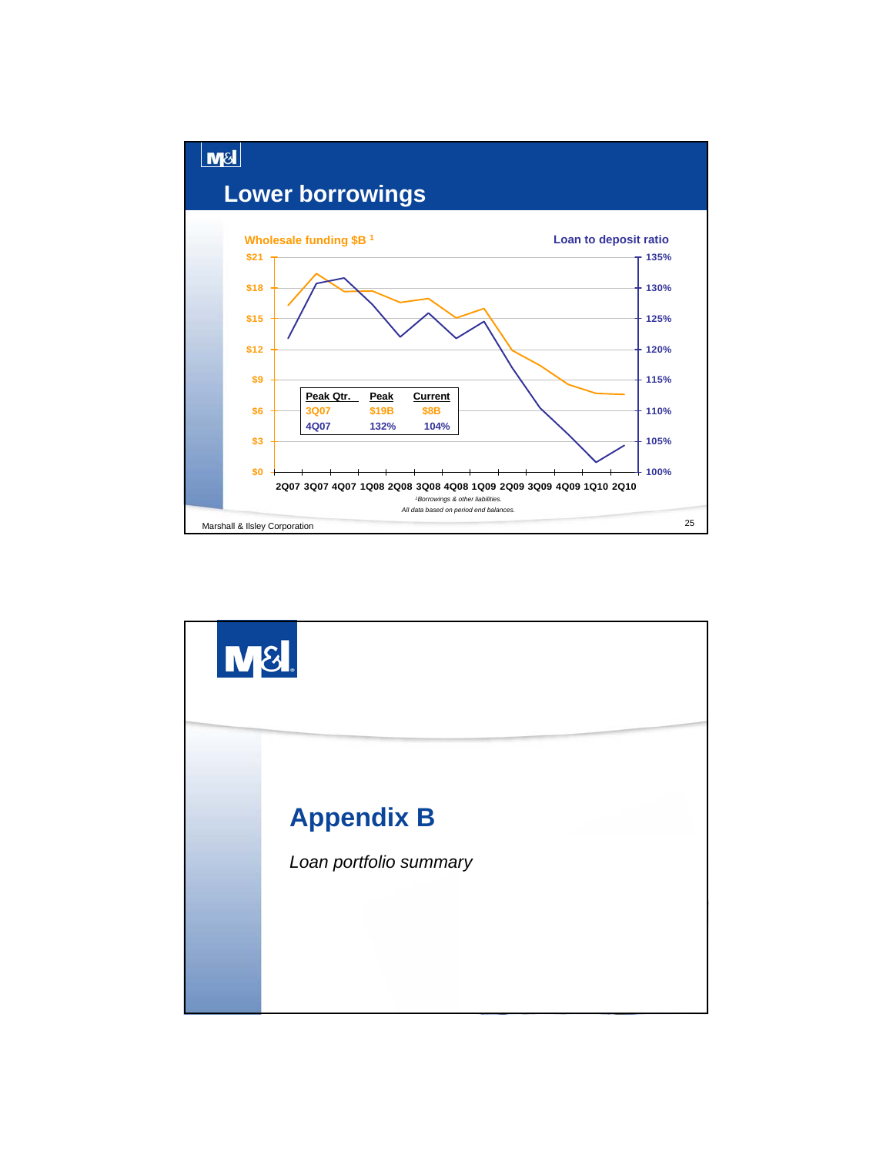

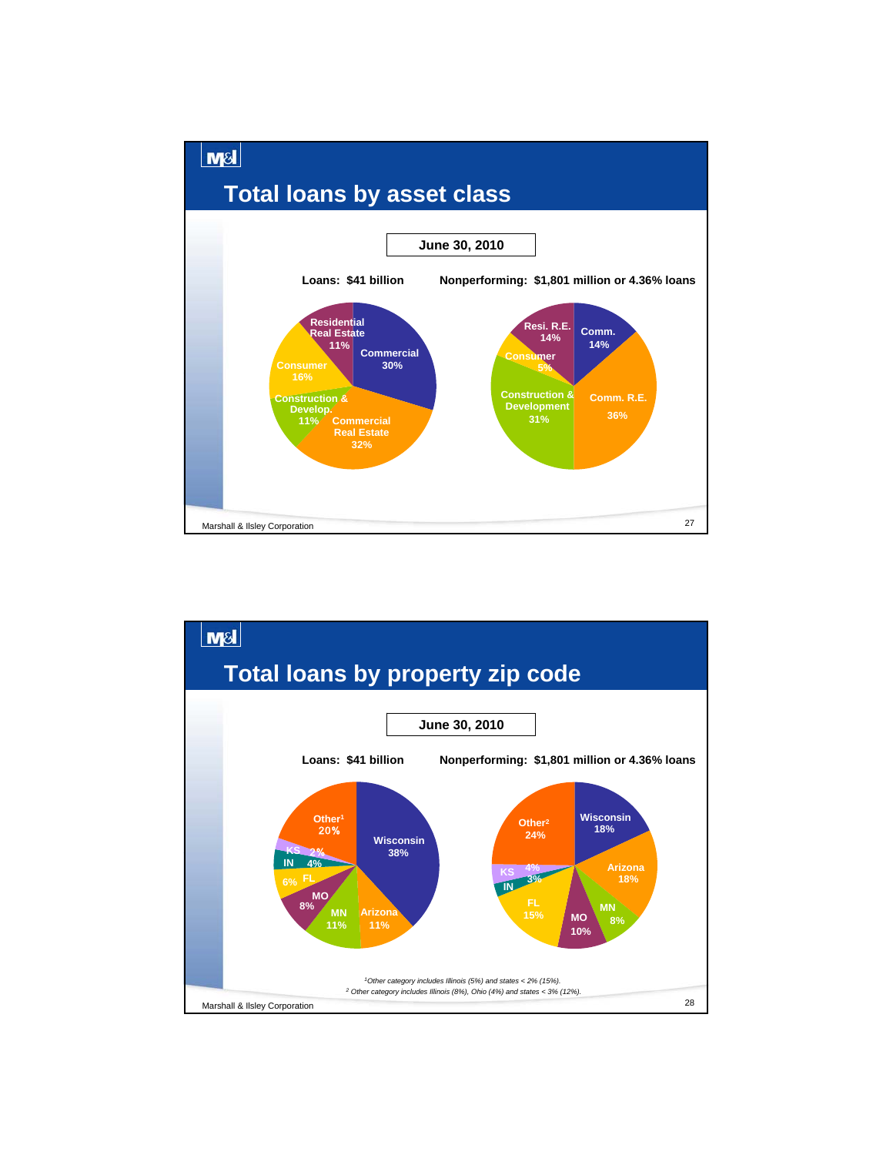

![](_page_13_Figure_1.jpeg)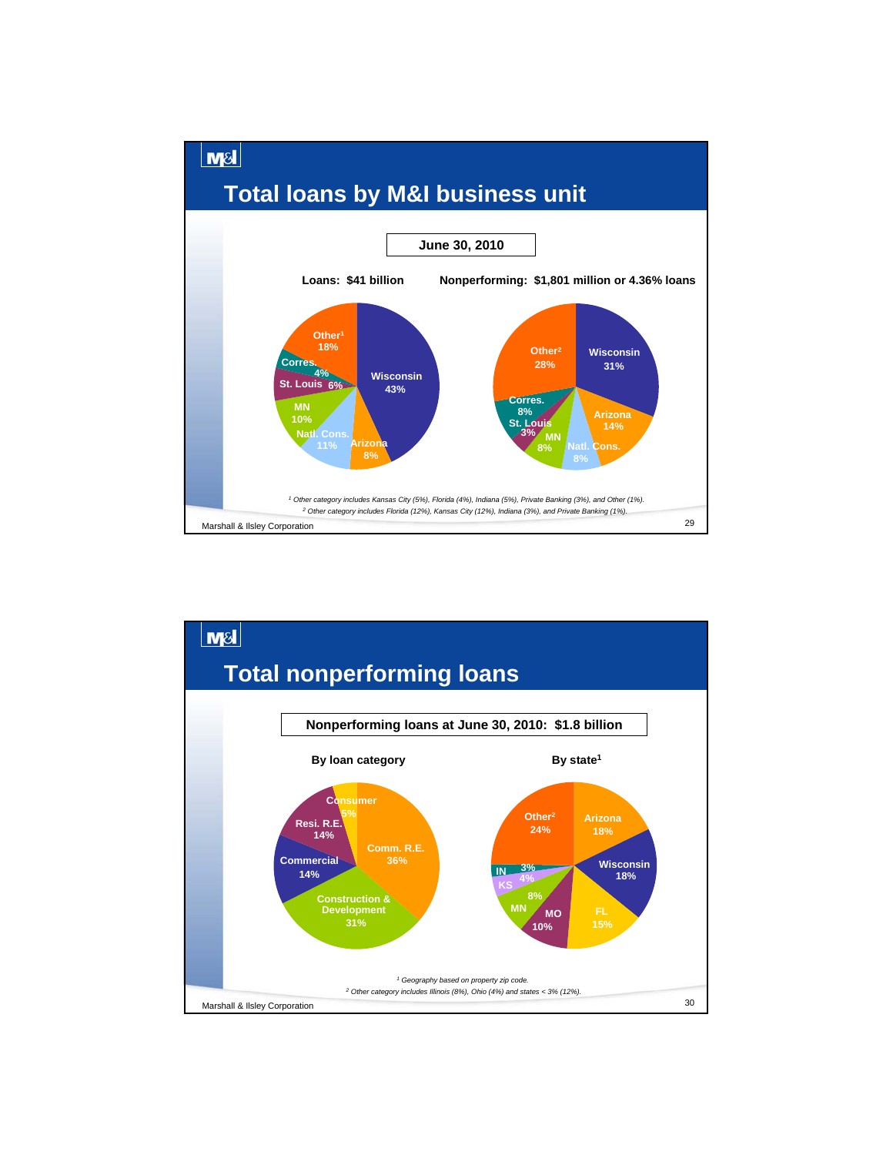![](_page_14_Figure_0.jpeg)

![](_page_14_Figure_1.jpeg)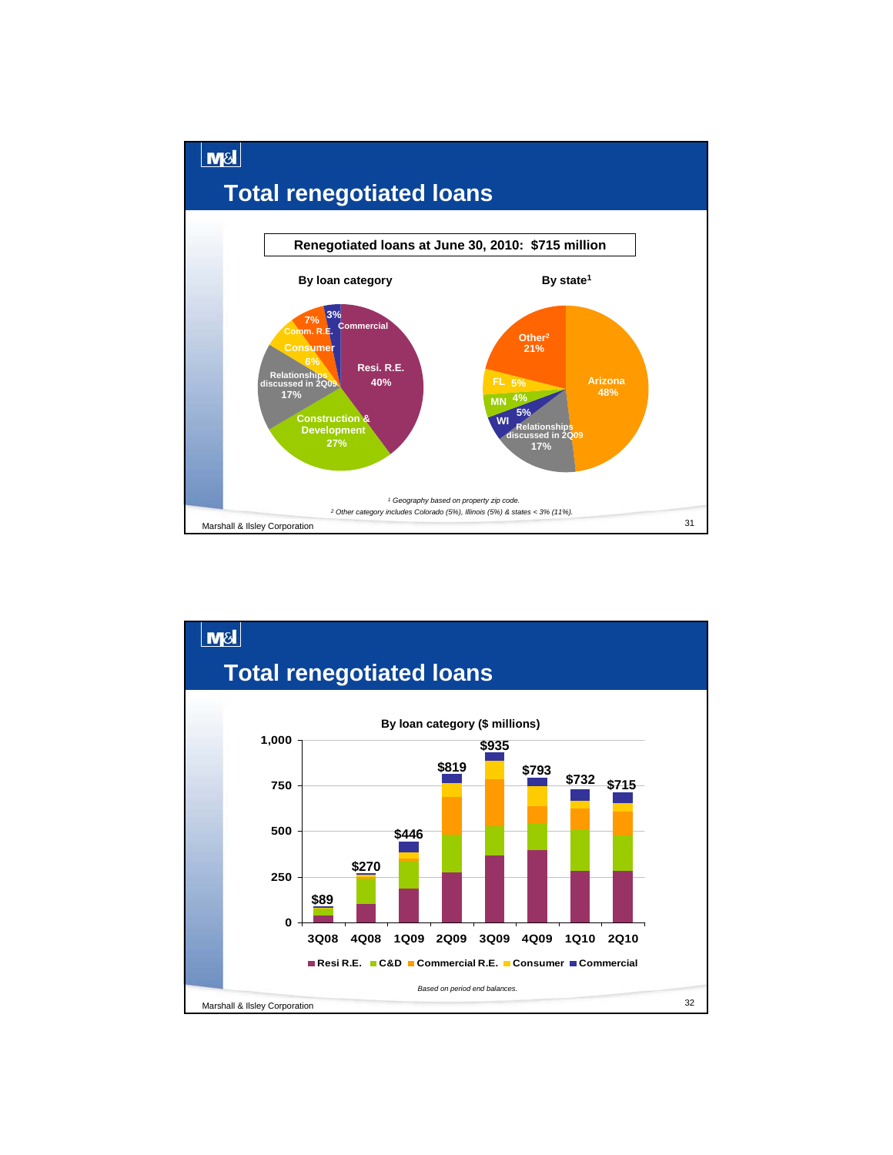![](_page_15_Figure_0.jpeg)

![](_page_15_Figure_1.jpeg)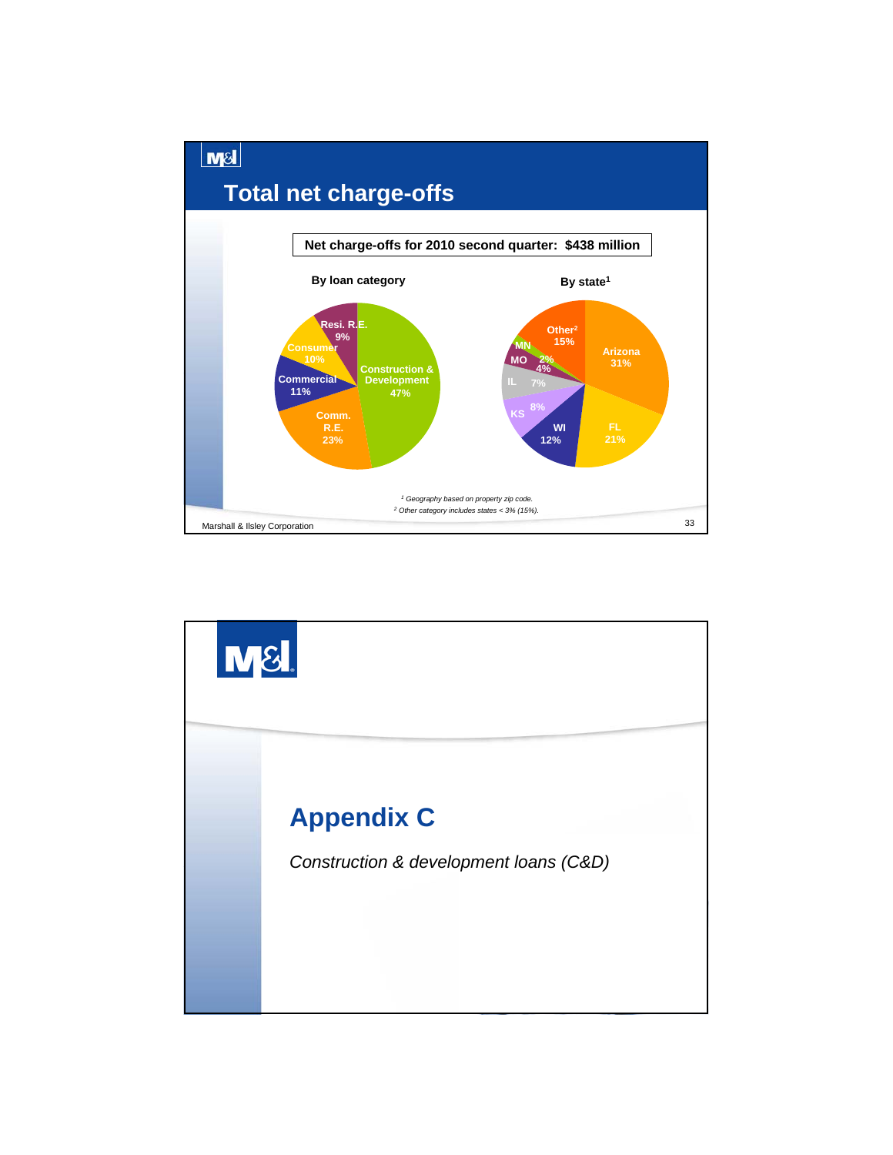![](_page_16_Figure_0.jpeg)

![](_page_16_Picture_1.jpeg)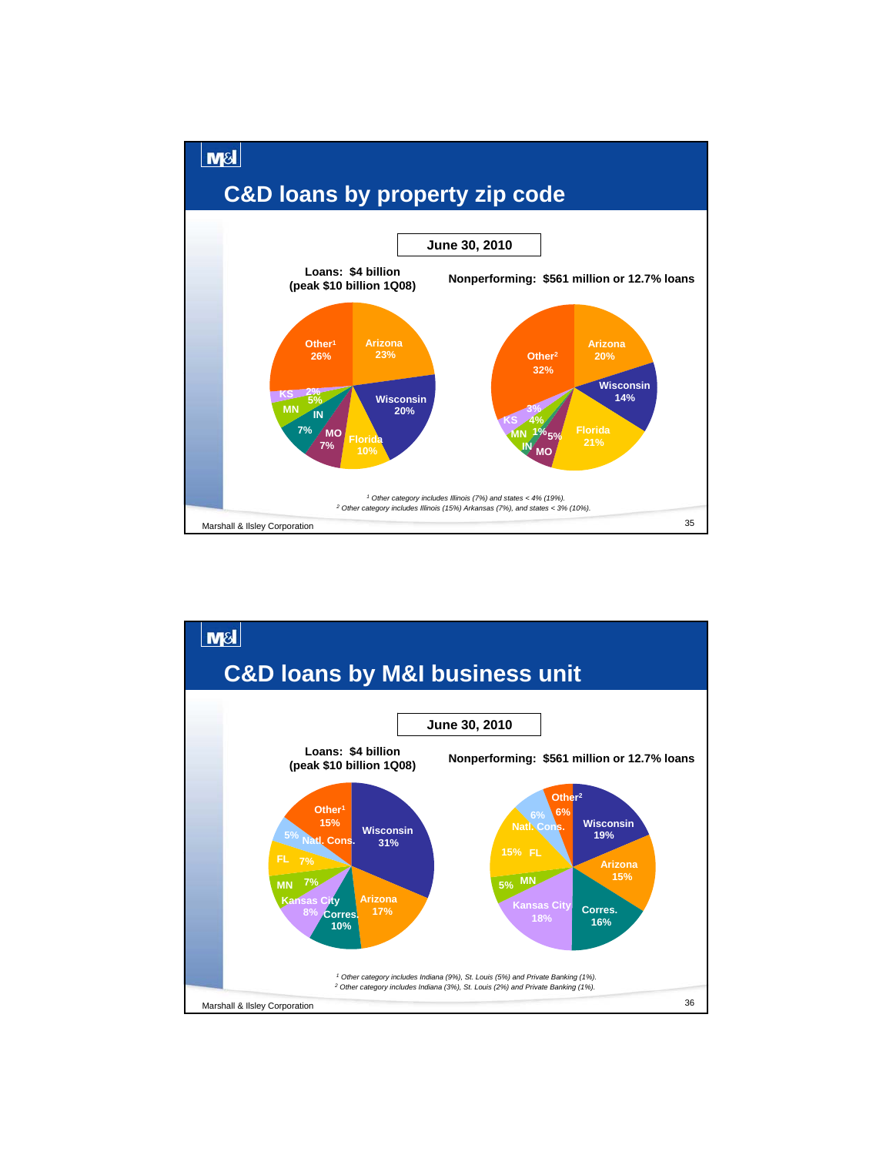![](_page_17_Figure_0.jpeg)

![](_page_17_Figure_1.jpeg)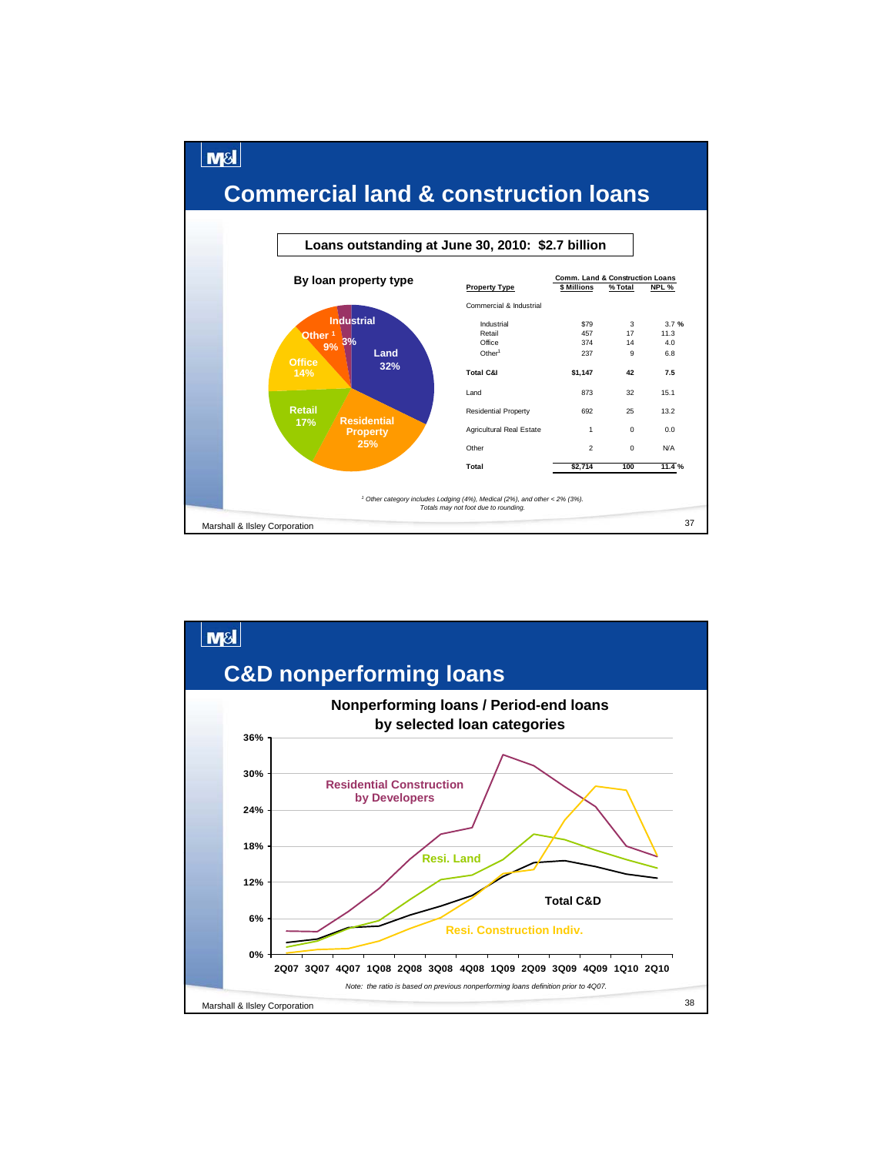![](_page_18_Figure_0.jpeg)

![](_page_18_Figure_1.jpeg)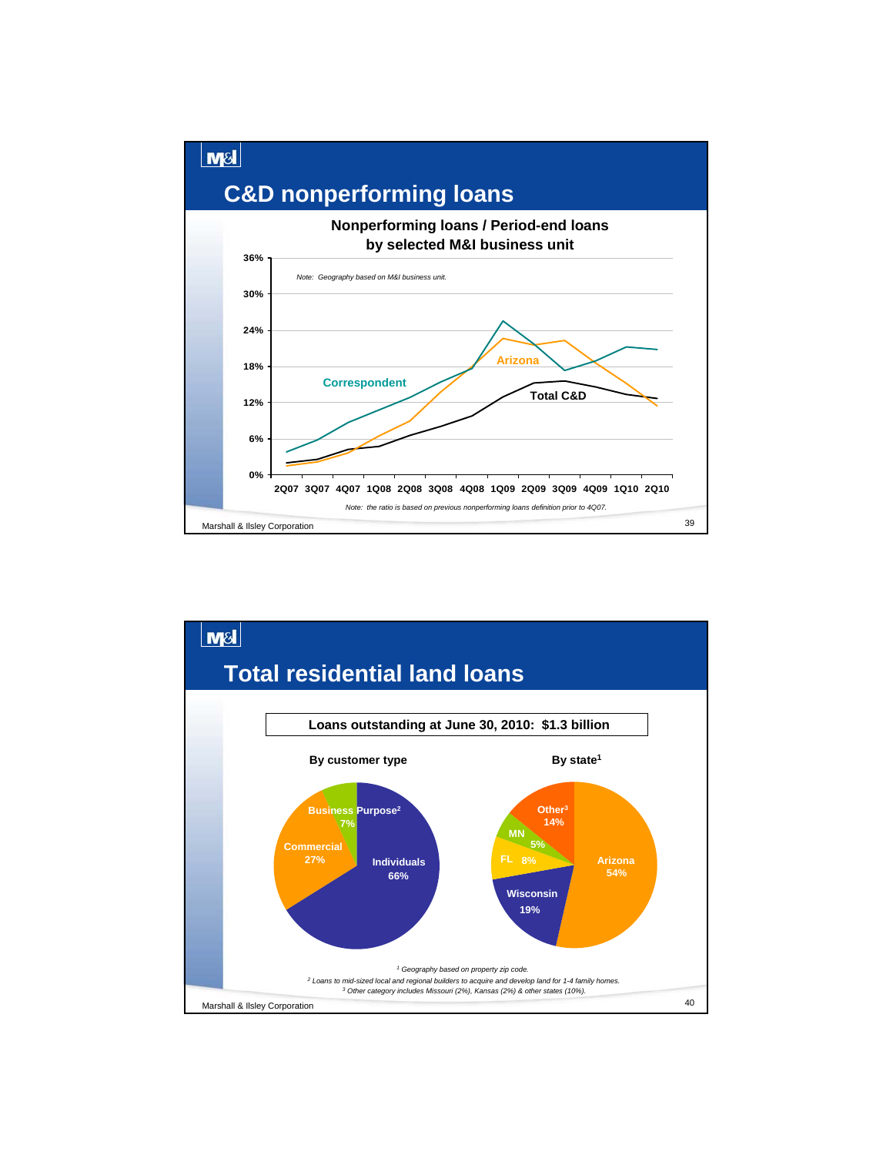![](_page_19_Figure_0.jpeg)

![](_page_19_Figure_1.jpeg)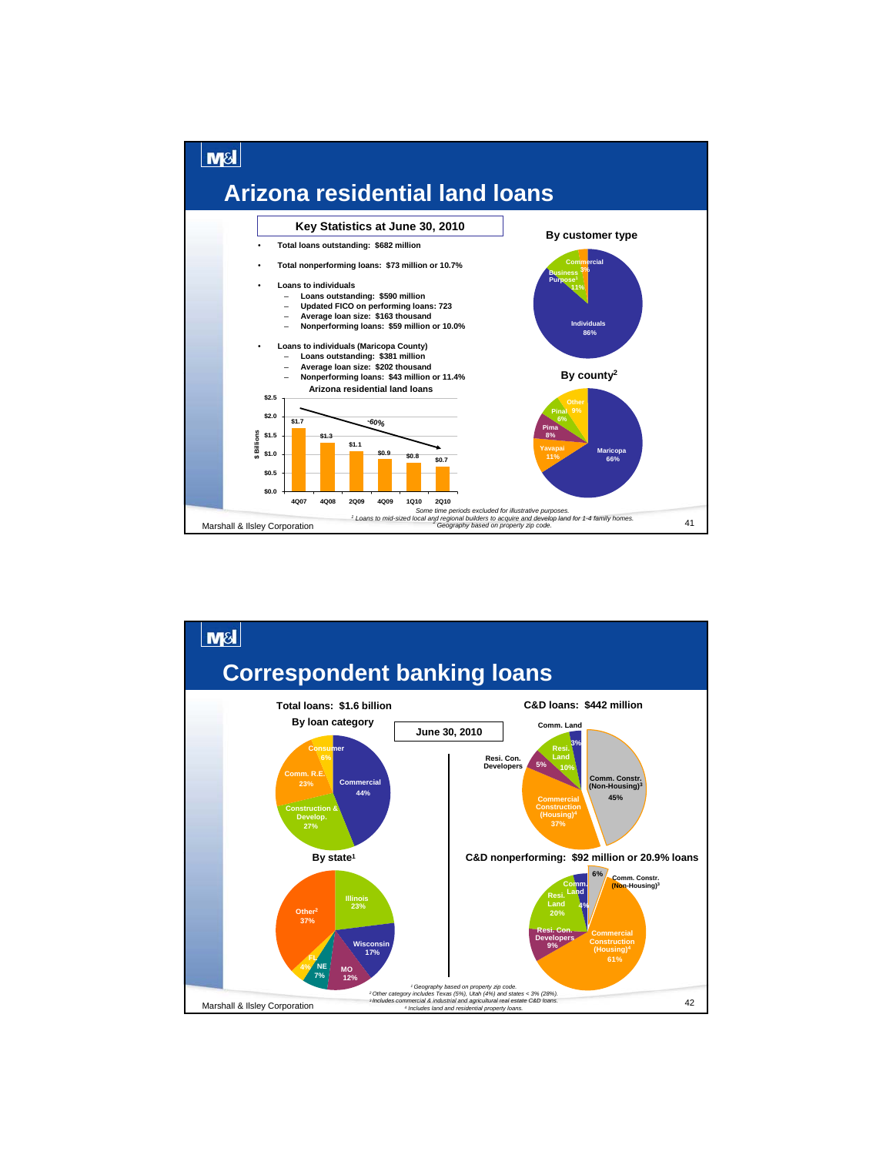![](_page_20_Figure_0.jpeg)

![](_page_20_Figure_1.jpeg)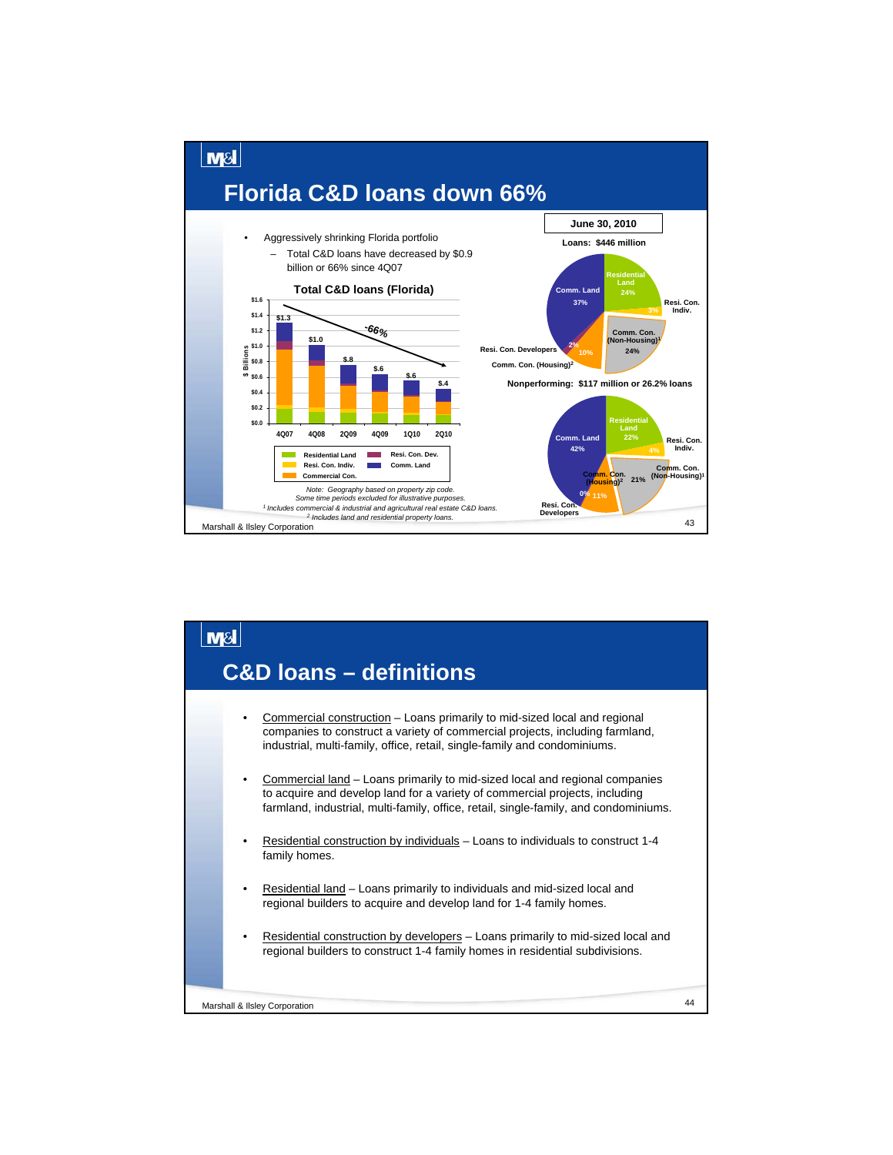![](_page_21_Figure_0.jpeg)

#### $M<sub>S</sub>$ **C&D loans – definitions**• Commercial construction – Loans primarily to mid-sized local and regional companies to construct a variety of commercial projects, including farmland, industrial, multi-family, office, retail, single-family and condominiums. • Commercial land – Loans primarily to mid-sized local and regional companies to acquire and develop land for a variety of commercial projects, including farmland, industrial, multi-family, office, retail, single-family, and condominiums. • Residential construction by individuals – Loans to individuals to construct 1-4 family homes. • Residential land – Loans primarily to individuals and mid-sized local and regional builders to acquire and develop land for 1-4 family homes. Residential construction by developers - Loans primarily to mid-sized local and regional builders to construct 1-4 family homes in residential subdivisions. 44 Marshall & Ilsley Corporation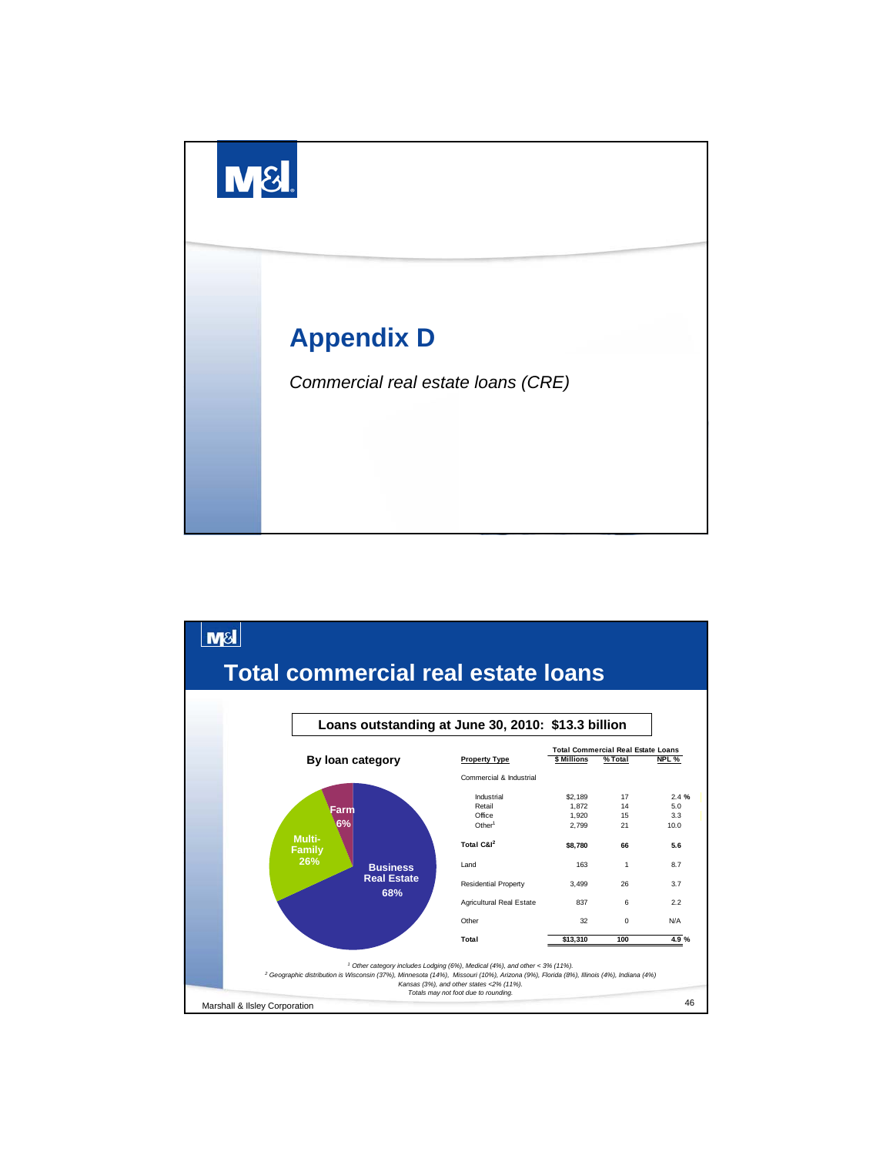![](_page_22_Picture_0.jpeg)

![](_page_22_Figure_1.jpeg)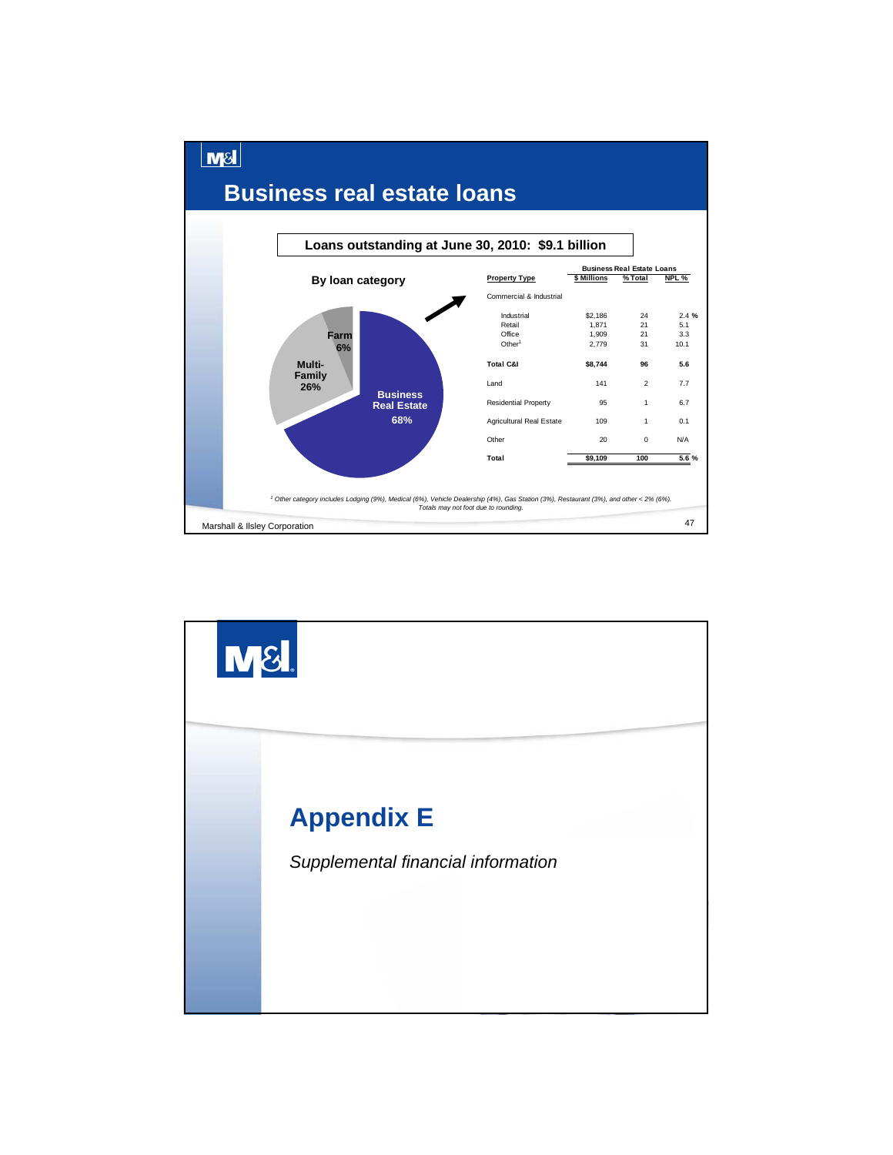![](_page_23_Figure_0.jpeg)

![](_page_23_Picture_1.jpeg)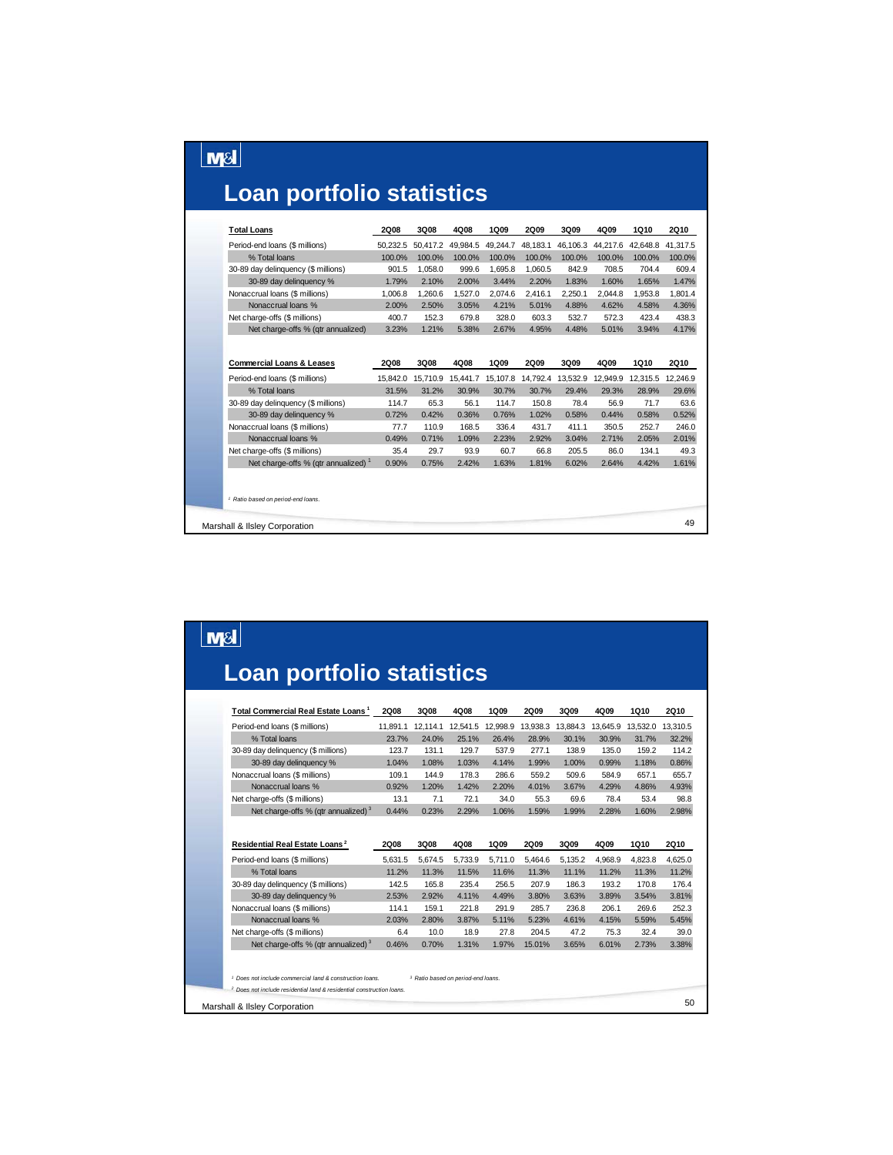# **Loan portfolio statistics**

 $\boxed{\text{M8}}$ 

| <b>Total Loans</b>                              | 2Q08        | 3Q08     | 4Q08     | 1Q09     | 2Q09     | 3Q09     | 4Q09     | 1Q10     | <b>2Q10</b> |
|-------------------------------------------------|-------------|----------|----------|----------|----------|----------|----------|----------|-------------|
| Period-end loans (\$ millions)                  | 50.232.5    | 50,417.2 | 49,984.5 | 49.244.7 | 48.183.1 | 46,106.3 | 44.217.6 | 42.648.8 | 41.317.5    |
| % Total loans                                   | 100.0%      | 100.0%   | 100.0%   | 100.0%   | 100.0%   | 100.0%   | 100.0%   | 100.0%   | 100.0%      |
| 30-89 day delinquency (\$ millions)             | 901.5       | 1,058.0  | 999.6    | 1,695.8  | 1,060.5  | 842.9    | 708.5    | 704.4    | 609.4       |
| 30-89 day delinquency %                         | 1.79%       | 2.10%    | 2.00%    | 3.44%    | 2.20%    | 1.83%    | 1.60%    | 1.65%    | 1.47%       |
| Nonaccrual loans (\$ millions)                  | 1,006.8     | 1,260.6  | 1.527.0  | 2.074.6  | 2.416.1  | 2.250.1  | 2.044.8  | 1.953.8  | 1.801.4     |
| Nonaccrual loans %                              | 2.00%       | 2.50%    | 3.05%    | 4.21%    | 5.01%    | 4.88%    | 4.62%    | 4.58%    | 4.36%       |
| Net charge-offs (\$ millions)                   | 400.7       | 152.3    | 679.8    | 328.0    | 603.3    | 532.7    | 572.3    | 423.4    | 438.3       |
| Net charge-offs % (gtr annualized)              | 3.23%       | 1.21%    | 5.38%    | 2.67%    | 4.95%    | 4.48%    | 5.01%    | 3.94%    | 4.17%       |
| <b>Commercial Loans &amp; Leases</b>            | <b>2Q08</b> | 3Q08     | 4Q08     | 1Q09     | 2Q09     | 3Q09     | 4Q09     | 1Q10     | <b>2Q10</b> |
| Period-end loans (\$ millions)                  | 15.842.0    | 15,710.9 | 15,441.7 | 15,107.8 | 14,792.4 | 13,532.9 | 12,949.9 | 12.315.5 | 12.246.9    |
| % Total loans                                   | 31.5%       | 31.2%    | 30.9%    | 30.7%    | 30.7%    | 29.4%    | 29.3%    | 28.9%    | 29.6%       |
| 30-89 day delinquency (\$ millions)             | 114.7       | 65.3     | 56.1     | 114.7    | 150.8    | 78.4     | 56.9     | 71.7     | 63.6        |
| 30-89 day delinquency %                         | 0.72%       | 0.42%    | 0.36%    | 0.76%    | 1.02%    | 0.58%    | 0.44%    | 0.58%    | 0.52%       |
| Nonaccrual loans (\$ millions)                  | 77.7        | 110.9    | 168.5    | 336.4    | 431.7    | 411.1    | 350.5    | 252.7    | 246.0       |
| Nonaccrual loans %                              | 0.49%       | 0.71%    | 1.09%    | 2.23%    | 2.92%    | 3.04%    | 2.71%    | 2.05%    | 2.01%       |
| Net charge-offs (\$ millions)                   | 35.4        | 29.7     | 93.9     | 60.7     | 66.8     | 205.5    | 86.0     | 134.1    | 49.3        |
| Net charge-offs % (gtr annualized) <sup>1</sup> | 0.90%       | 0.75%    | 2.42%    | 1.63%    | 1.81%    | 6.02%    | 2.64%    | 4.42%    | 1.61%       |
| <sup>1</sup> Ratio based on period-end loans.   |             |          |          |          |          |          |          |          |             |
| Marshall & Ilsley Corporation                   |             |          |          |          |          |          |          |          | 49          |

# $\boxed{\text{M8}}$ **Loan portfolio statistics**

| Period-end loans (\$ millions)                                        |              |               |               |               |                 |               |               | 1Q10          |                                 |
|-----------------------------------------------------------------------|--------------|---------------|---------------|---------------|-----------------|---------------|---------------|---------------|---------------------------------|
|                                                                       | 11.891.1     | 12.114.1      | 12,541.5      | 12,998.9      | 13,938.3        | 13,884.3      | 13.645.9      | 13.532.0      | 13.310.5                        |
| % Total loans                                                         | 23.7%        | 24.0%         | 25.1%         | 26.4%         | 28.9%           | 30.1%         | 30.9%         | 31.7%         | 32.2%                           |
| 30-89 day delinquency (\$ millions)                                   | 123.7        | 131.1         | 129.7         | 537.9         | 277.1           | 138.9         | 135.0         | 159.2         | 114.2                           |
| 30-89 day delinquency %                                               | 1.04%        | 1.08%         | 1.03%         | 4.14%         | 1.99%           | 1.00%         | 0.99%         | 1.18%         | 0.86%                           |
| Nonaccrual loans (\$ millions)                                        | 109.1        | 144.9         | 178.3         | 286.6         | 559.2           | 509.6         | 584.9         | 657.1         | 655.7                           |
| Nonaccrual loans %                                                    | 0.92%        | 1.20%         | 1.42%         | 2.20%         | 4.01%           | 3.67%         | 4.29%         | 4.86%         | 4.93%                           |
| Net charge-offs (\$ millions)                                         | 13.1         | 7.1           | 72.1          | 34.0          | 55.3            | 69.6          | 78.4          | 53.4          | 98.8                            |
| Net charge-offs % (gtr annualized) 3                                  | 0.44%        | 0.23%         | 2.29%         | 1.06%         | 1.59%           | 1.99%         | 2.28%         | 1.60%         | 2.98%                           |
| Residential Real Estate Loans <sup>2</sup>                            | 2Q08         | 3Q08          | 4Q08          | 1Q09          | 2Q09            | 3Q09          | 4Q09          | 1Q10          | <b>2Q10</b>                     |
|                                                                       |              |               |               |               |                 |               |               |               |                                 |
|                                                                       |              |               |               |               |                 |               |               |               |                                 |
|                                                                       | 5.631.5      | 5,674.5       | 5,733.9       | 5.711.0       | 5.464.6         | 5,135.2       | 4.968.9       | 4.823.8       | 4,625.0                         |
| % Total loans                                                         | 11.2%        | 11.3%         | 11.5%         | 11.6%         | 11.3%           | 11.1%         | 11.2%         | 11.3%         |                                 |
| Period-end loans (\$ millions)<br>30-89 day delinquency (\$ millions) | 142.5        | 165.8         | 235.4         | 256.5         | 207.9           | 186.3         | 193.2         | 170.8         |                                 |
| 30-89 day delinquency %                                               | 2.53%        | 2.92%         | 4.11%         | 4.49%         | 3.80%           | 3.63%         | 3.89%         | 3.54%         | 11.2%<br>176.4<br>3.81%         |
| Nonaccrual loans (\$ millions)                                        | 114.1        | 159.1         | 221.8         | 291.9         | 285.7           | 236.8         | 206.1         | 269.6         |                                 |
| Nonaccrual loans %                                                    | 2.03%        | 2.80%         | 3.87%         | 5.11%         | 5.23%           | 4.61%         | 4.15%         | 5.59%         |                                 |
| Net charge-offs (\$ millions)<br>Net charge-offs % (gtr annualized) 3 | 6.4<br>0.46% | 10.0<br>0.70% | 18.9<br>1.31% | 27.8<br>1.97% | 204.5<br>15.01% | 47.2<br>3.65% | 75.3<br>6.01% | 32.4<br>2.73% | 252.3<br>5.45%<br>39.0<br>3.38% |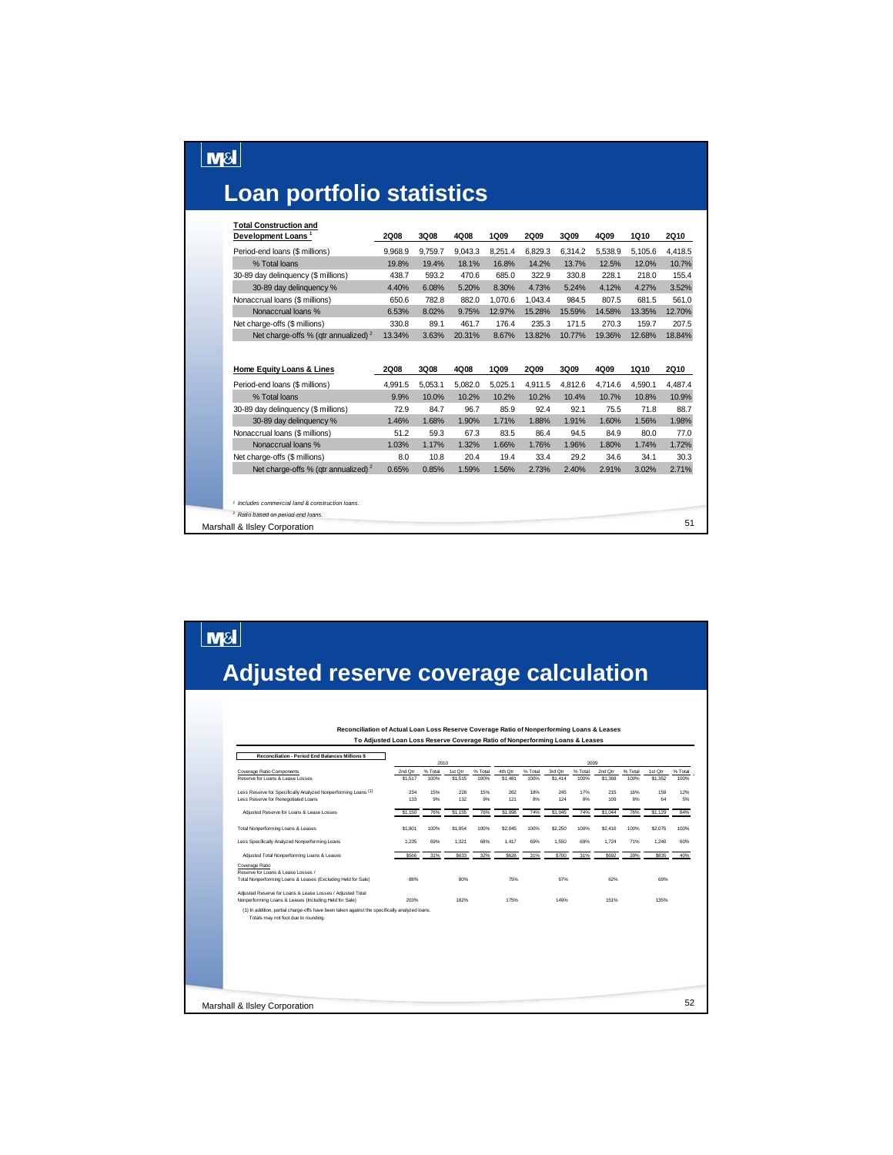# **Loan portfolio statistics**

 $\boxed{\text{MSI}}$ 

 $\boxed{\text{M8}}$ 

| <b>Total Construction and</b><br>Development Loans <sup>1</sup> | 2Q08        | 3Q08    | 4Q08    | 1Q09    | <b>2Q09</b> | 3Q09    | 4Q09    | 1Q10    | <b>2Q10</b> |
|-----------------------------------------------------------------|-------------|---------|---------|---------|-------------|---------|---------|---------|-------------|
|                                                                 |             |         |         |         |             |         |         |         |             |
| Period-end loans (\$ millions)                                  | 9,968.9     | 9,759.7 | 9,043.3 | 8,251.4 | 6,829.3     | 6,314.2 | 5,538.9 | 5,105.6 | 4,418.5     |
| % Total loans                                                   | 19.8%       | 19.4%   | 18.1%   | 16.8%   | 14.2%       | 13.7%   | 12.5%   | 12.0%   | 10.7%       |
| 30-89 day delinquency (\$ millions)                             | 438.7       | 593.2   | 470.6   | 685.0   | 322.9       | 330.8   | 228.1   | 218.0   | 155.4       |
| 30-89 day delinquency %                                         | 4.40%       | 6.08%   | 5.20%   | 8.30%   | 4.73%       | 5.24%   | 4.12%   | 4.27%   | 3.52%       |
| Nonaccrual loans (\$ millions)                                  | 650.6       | 782.8   | 882.0   | 1,070.6 | 1,043.4     | 984.5   | 807.5   | 681.5   | 561.0       |
| Nonaccrual loans %                                              | 6.53%       | 8.02%   | 9.75%   | 12.97%  | 15.28%      | 15.59%  | 14.58%  | 13.35%  | 12.70%      |
| Net charge-offs (\$ millions)                                   | 330.8       | 89.1    | 461.7   | 176.4   | 235.3       | 171.5   | 270.3   | 159.7   | 207.5       |
| Net charge-offs % (gtr annualized) $2$                          | 13.34%      | 3.63%   | 20.31%  | 8.67%   | 13.82%      | 10.77%  | 19.36%  | 12.68%  | 18.84%      |
| Home Equity Loans & Lines                                       | <b>2Q08</b> | 3Q08    | 4Q08    | 1Q09    | <b>2Q09</b> | 3Q09    | 4Q09    | 1Q10    | <b>2Q10</b> |
| Period-end loans (\$ millions)                                  | 4,991.5     | 5,053.1 | 5,082.0 | 5,025.1 | 4,911.5     | 4,812.6 | 4,714.6 | 4,590.1 | 4,487.4     |
| % Total loans                                                   | 9.9%        | 10.0%   | 10.2%   | 10.2%   | 10.2%       | 10.4%   | 10.7%   | 10.8%   | 10.9%       |
| 30-89 day delinquency (\$ millions)                             | 72.9        | 84.7    | 96.7    | 85.9    | 92.4        | 92.1    | 75.5    | 71.8    | 88.7        |
| 30-89 day delinquency %                                         | 1.46%       | 1.68%   | 1.90%   | 1.71%   | 1.88%       | 1.91%   | 1.60%   | 1.56%   | 1.98%       |
| Nonaccrual loans (\$ millions)                                  | 51.2        | 59.3    | 67.3    | 83.5    | 86.4        | 94.5    | 84.9    | 80.0    | 77.0        |
| Nonaccrual loans %                                              | 1.03%       | 1.17%   | 1.32%   | 1.66%   | 1.76%       | 1.96%   | 1.80%   | 1.74%   | 1.72%       |
| Net charge-offs (\$ millions)                                   | 8.0         | 10.8    | 20.4    | 19.4    | 33.4        | 29.2    | 34.6    | 34.1    | 30.3        |
| Net charge-offs % (gtr annualized) $2$                          | 0.65%       | 0.85%   | 1.59%   | 1.56%   | 2.73%       | 2.40%   | 2.91%   | 3.02%   | 2.71%       |
|                                                                 |             |         |         |         |             |         |         |         |             |
| <sup>1</sup> Includes commercial land & construction loans.     |             |         |         |         |             |         |         |         |             |
| <sup>2</sup> Ratio based on period-end loans.                   |             |         |         |         |             |         |         |         |             |
| Marshall & Ilsley Corporation                                   |             |         |         |         |             |         |         |         | 51          |

# **Adjusted reserve coverage calculation**

| Reconciliation - Period End Balances Millions \$                                                                                      |         | 2010    |         |         |         |         |         | 2009    |         |         |         |         |
|---------------------------------------------------------------------------------------------------------------------------------------|---------|---------|---------|---------|---------|---------|---------|---------|---------|---------|---------|---------|
| Coverage Ratio Components                                                                                                             | 2nd Qtr | % Total | 1st Qtr | % Total | 4th Otr | % Total | 3rd Otr | % Total | 2nd Otr | % Total | 1st Qtr | % Total |
| Reserve for Loans & Lease Losses                                                                                                      | \$1,517 | 100%    | \$1,515 | 100%    | \$1,481 | 100%    | \$1,414 | 100%    | \$1,368 | 100%    | \$1,352 | 100%    |
| Less Reserve for Specifically Analyzed Nonperforming Loans (1)                                                                        | 234     | 15%     | 228     | 15%     | 262     | 18%     | 245     | 17%     | 215     | 16%     | 159     | 12%     |
| Less Reserve for Renegotiated Loans                                                                                                   | 133     | 9%      | 132     | 9%      | 121     | 8%      | 124     | 9%      | 109     | 8%      | 64      | 5%      |
| Adjusted Reserve for Loans & Lease Losses                                                                                             | \$1,150 | 76%     | \$1,155 | 76%     | \$1,098 | 74%     | \$1,045 | 74%     | \$1,044 | 76%     | \$1,129 | 84%     |
| Total Nonperforming Loans & Leases                                                                                                    | \$1,801 | 100%    | \$1,954 | 100%    | \$2.045 | 100%    | \$2,250 | 100%    | \$2,416 | 100%    | \$2.075 | 100%    |
| Less Specifically Analyzed Nonperforming Loans                                                                                        | 1.235   | 69%     | 1,321   | 68%     | 1.417   | 69%     | 1.550   | 69%     | 1.724   | 71%     | 1.240   | 60%     |
| Adjusted Total Nonperforming Loans & Leases                                                                                           | \$566   | 31%     | \$633   | 32%     | \$628   | 31%     | \$700   | 31%     | \$692   | 29%     | \$835   | 40%     |
| Coverage Ratio<br>Reserve for Loans & Lease Losses /                                                                                  |         |         |         |         |         |         |         |         |         |         |         |         |
| Total Nonperforming Loans & Leases (Excluding Held for Sale)                                                                          | 88%     |         | 80%     |         | 75%     |         | 67%     |         | 62%     |         | 69%     |         |
| Adjusted Reserve for Loans & Lease Losses / Adjusted Total<br>Nonperforming Loans & Leases (Including Held for Sale)                  | 203%    |         | 182%    |         | 175%    |         | 149%    |         | 151%    |         | 135%    |         |
| (1) In addition, partial charge-offs have been taken against the specifically analyzed loans.<br>Totals may not foot due to rounding. |         |         |         |         |         |         |         |         |         |         |         |         |
|                                                                                                                                       |         |         |         |         |         |         |         |         |         |         |         |         |
|                                                                                                                                       |         |         |         |         |         |         |         |         |         |         |         |         |
|                                                                                                                                       |         |         |         |         |         |         |         |         |         |         |         |         |